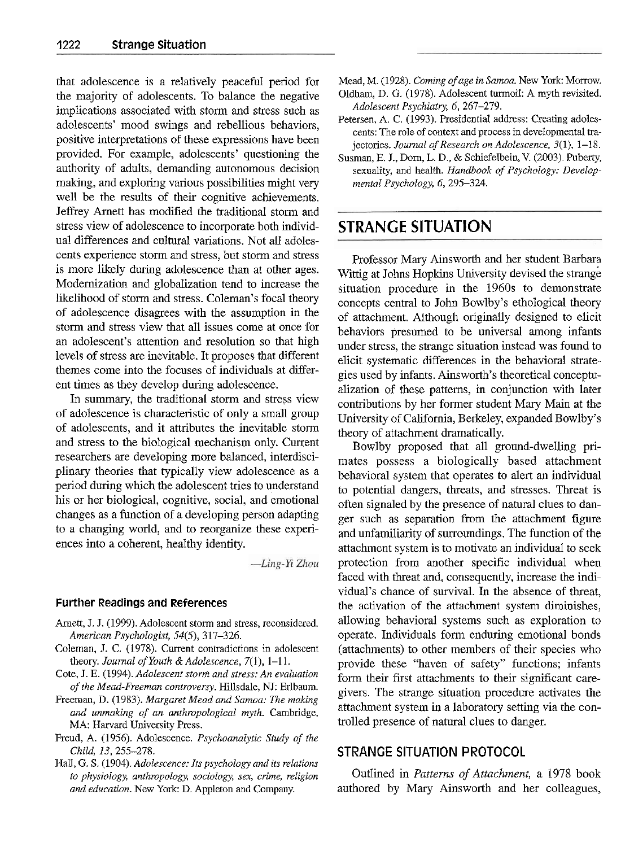that adolescence is a relatively peaceful period for the majority of adolescents. To balance the negative implications associated with storm and stress such as adolescents' mood swings and rebellious behaviors, positive interpretations of these expressions have been provided. For example, adolescents' questioning the authority of adults, demanding autonomous decision making, and exploring various possibilities might very well be the results of their cognitive achievements. Jeffrey Amett bas modified the traditional storm and stress view of adolescence to incorporate both individual differences and cultural variations. Not all adolescents experience storm and stress, but storm and stress is more likely during adolescence than at other ages. Modernization and globalization tend to increase the Likelihood of storm and stress. Coleman's focal theory of adolescence disagrees with the assumption in the storm and stress view that all issues come at once for an adolescent's attention and resolution so that high levels of stress are inevitable. It proposes that different themes come into the focuses of individuals at different times as they develop during adolescence.

In summary, the traditional storm and stress view of adolescence is characteristic of only a small group of adolescents, and it attributes the inevitable storm and stress to the biological mechanism only. Current researchers are developing more balanced, interdisciplinary theories that typically view adolescence as a period during which the adolescent tries to understand his or her biological, cognitive, social, and emotional changes as a function of a developing person adapting to a changing world, and to reorganize these experiences into a coherent, healthy identity.

 $-Ling-Yi Zhou$ 

#### **Further Readings and References**

- Amett, J. J. (1999). Adolescent storm and stress, reconsidered. *AmericanPsychologist,* **54(5),** 317-326.
- Coleman, J. C. (1978). Current contradictions in adolescent theory. *Journal of Youth & Adolescence*, 7(1), 1-11.
- Cote, 1. E. (1994). *Adolescent storm and stress: An evaluation of the Mead-Freeman controversy.* Hillsdale, NJ: Erlhaum.
- Freeman, D. (1983). *Margaret Mead and Samoa: The making and unmaking of an anthmpological myth.* Cambridge, MA: Harvard University Press.
- Freud, A. (1956). Adolescence. *Psychoanalytic Study of the Child, 13,* 255-278.
- Hall, G. S. (1904). *Adolescence: Its psychology andits relations to physiology, anthropology, sociology, sex, crime, religion and education.* New York: *D.* Appleton and Company.

Mead, M. (1928). *Coming of age in Samoa* New York: Morrow. Oldham, D. G. (1978). Adolescent turmoil: A myth revisited.

- *Adolescent Psychiatry, 6,* 267-279. Petersen, A. C. (1993). Presidential address: Creating adoles-
- cents: The role of context and process in developmental trajectories. *Journal of Research on Adolescence,* 3(1), 1-18.
- Susman, E. J., Dorn, L. D., & Schiefelbein, V. (2003). Puberty, sexuality, and health. *Handbook of Psychology: Developmental Psychology, 6,* 295-324.

## **STRANGE SITUATION**

Professor Mary Ainsworth and her student Barbara Wittig at Johns Hopkins University devised the strange situation procedure in the 1960s to demonstrate concepts central to John Bowlby's ethological theory of attachment. Although originally designed to elicit behaviors presumed to be universal among infants under stress, the strange situation instead was found to elicit systematic differences in the behavioral strategies used by infants. Ainsworth's theoretical conceptualization of these patterns, in conjunction with later contributions by her former student Mary Main at the University of California, Berkeley, expanded Bowlby's theory of attachment dramatically.

Bowlby proposed that all ground-dwelling primates possess a biologically based attachment behavioral system that operates to alert an individual to potential dangers, threats, and stresses. Threat is often signaled by the presence of natural clues to danger such as separation from the attachment figure and unfamiliarity of surroundings. The function of the attachment system is to motivate an individual to seek protection from another specific individual when faced with threat and, consequently, increase the individual's chance of survival. In the absence of threat, the activation of the attachment system diminishes, allowing behavioral systems such as exploration to operate. Individuals form enduring emotional bonds (attachments) to other members of their species who provide these "haven of safety" functions; infants form their first attachments to their significant caregivers. The strange situation procedure activates the attachment system in a laboratory setting via the controlled presence of natural clues to danger.

#### STRANGE SITUATION PROTOCOL

Outlined in *Patterns of Attachment,* a 1978 book authored by Mary Ainsworth and her colleagues,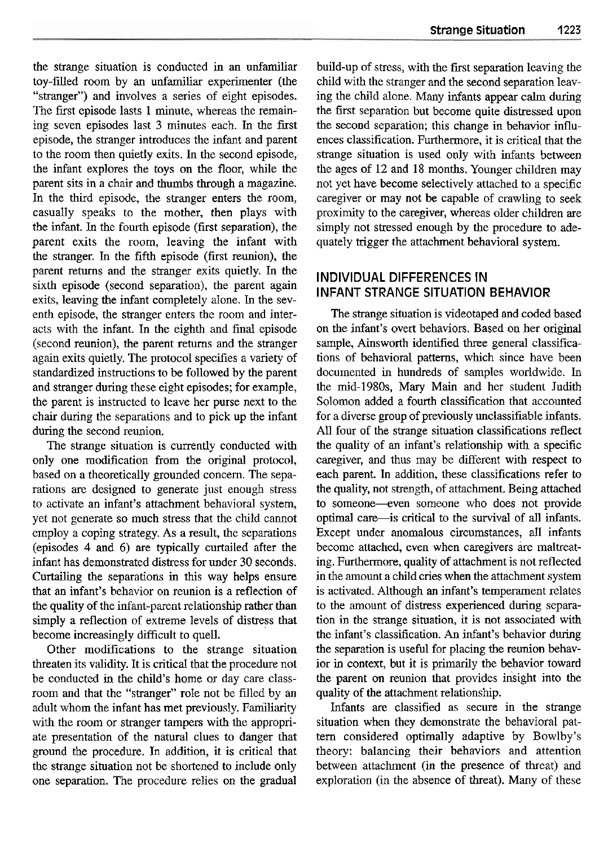the strange situation is conducted in an unfamiliar toy-filled room by an unfamiliar experimenter (the "stranger") and involves a series of eight episodes. The first episode lasts 1 minute, whereas the remaining seven episodes last **3** minutes each. In the fust episode, the stranger introduces the infant and parent to the room then quietly exits. In the second episode, the infant explores the toys on the floor, while the parent sits in a chair and thumbs through a magazine. In the third episode, the stranger enters the room, casually speaks to the mother, then plays with the infant. In the fourth episode (first separation), the parent exits the room, leaving the infant with the stranger. In the fifth episode (first reunion), the parent returns and the stranger exits quietly. In the sixth episode (second separation), the parent again exits, leaving the infant completely alone. In the seventh episode, the stranger enters the room and interacts with the infant. In the eighth and final episode (second reunion), the parent returns and the stranger again exits quietly. The protocol specifies a variety of standardized instmctions to be followed by the parent and stranger during these eight episodes; for example, the parent is instructed to leave her purse next to the chair during the separations and to pick up the infant during the second reunion.

The strange situation is currently conducted with only one modification from the original protocol, based on a theoretically grounded concern. The separations are designed to generate just enough stress to activate an infant's attachment behavioral system, yet not generate so much stress that the child cannot employ a coping strategy. As a result, the separations (episodes 4 and 6) are typically curtailed after the infant has demonstrated distress for under 30 seconds. Curtailing the separations in this way helps ensure that an infant's behavior on reunion is a reflection of the quality of the infant-parent relationship rather than simply a reflection of extreme levels of distress that become increasingly difficult to quell.

Other modifications to the strange situation threaten its validity. It is critical that the procedure not be conducted in the child's home or day care classroom and that the "stranger" role not be filled by an adult whom the infant has met previously. Familiarity with the room or stranger tampers with the appropriate presentation of the natural clues to danger that ground the procedure. In addition, it is critical that the strange situation not be shortened to include only one separation. The procedure relies on the gradual build-up of stress, with the first separation leaving the child with the stranger and the second separation leaving the child alone. Many infants appear calm during the first separation hut become quite distressed upon the second separation; this change in behavior influences classification. Furthermore, it is critical that the strange situation is used only with infants between the ages of 12 and 18 months. Younger children may not yet have become selectively attached to a specific caregiver or may not be capable of crawling to seek proximity to the caregiver, whereas older children are simply not stressed enough by the procedure to adequately trigger the attachment behavioral system.

### **INDIVIDUAL DIFFERENCES IN INFANT STRANGE SITUATION BEHAVIOR**

The strange situation is videotaped and coded based on the infant's overt behaviors. Based on her original sample, Ainsworth identified three general classifications of behavioral patterns, which since have been documented in hundreds of samples worldwide. In the mid-1980s, Mary Main and her student Judith Solomon added a fourth classification that accounted for a diverse group of previously unclassifiable infants. All four of the strange situation classifications reflect the quality of an infant's relationship with a specific caregiver, and thus may be different with respect to each parent. In addition, these classifications refer to the quality, not strength, of attachment. Being attached to someone--even someone who does not provide optimal care--is critical to the survival of all infants. Except under anomalous circumstances, all infants become attached, even when caregivers are maltreating. Furthermore, quality of attachment is not reflected in the amount a child cries when the attachment system is activated. Although an infant's temperament relates to the amount of distress experienced during separation in the strange situation, it is not associated with the infant's classification. An infant's behavior during the separation is useful for placing the reunion behavior in context, but it is primarily the behavior toward the parent on reunion that provides insight into the quality of the attachment relationship.

Infants are classified as secure in the strange situation when they demonstrate the behavioral pattern considered optimally adaptive by Bowlby's theory: balancing their behaviors and attention between attachment (in the presence of threat) and exploration (in the absence of threat). Many of these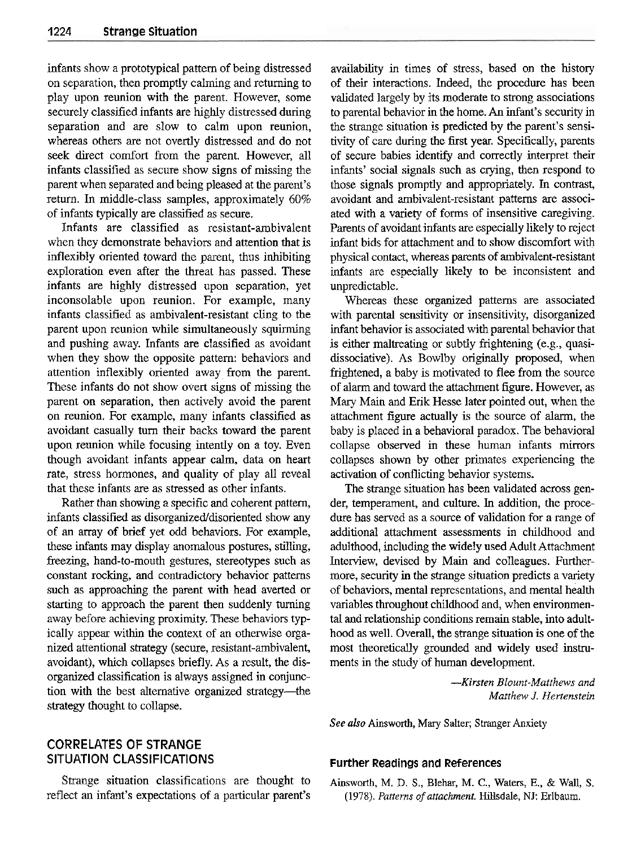infants show a prototypical pattern of being distressed on separation, then promptly calming and returning to play upon reunion with the parent. However, some securely classified infants are highly distressed during separation and are slow to calm upon reunion, whereas others are not overtly distressed and do not seek direct comfort from the parent. However, all infants classified as secure show signs of missing the parent when separated and being pleased at the parent's return. In middle-class samples, approximately 60% of infants typically are classified as secure.

Infants are classified as resistant-ambivalent when they demonstrate behaviors and attention that is inflexibly oriented toward the parent, thus inhibiting exploration even after the threat has passed. These infants are highly distressed upon separation, yet inconsolable upon reunion. For example, many infants classified as ambivalent-resistant cling to the parent upon reunion while simultaneously squirming and pushing away. Infants are classified as avoidant when they show the opposite pattern: behaviors and attention inflexibly oriented away from the parent. These infants do not show overt signs of missing the parent on separation, then actively avoid the parent on reunion. For example, many infants classified as avoidant casually turn their backs toward the parent upon reunion while focusing intently on a toy. Even though avoidant infants appear calm, data on heart rate, stress hormones, and quality of play all reveal that these infants are as stressed as other infants.

Rather than showing a specific and coherent pattern, infants classified as disorganized/disoriented show any of an array of brief yet odd behaviors. For example, these infants may display anomalous postures, stilling, freezing, hand-to-mouth gestures, stereotypes such as constant rocking, and contradictory behavior patterns such as approaching the parent with head averted or starting to approach the parent then suddenly turning away before achieving proximity. These behaviors typically appear within the context of an otherwise organized attentional strategy (secure, resistant-ambivalent, avoidant), which collapses briefly. As a result, the disorganized classification is always assigned in conjunction with the best alternative organized strategy-the strategy thought to collapse.

availability in times of stress, based on the history of their interactions. Indeed, the procedure has been validated largely by its moderate to strong associations to parental behavior in the home. An infant's security in the strange situation is predicted by the parent's sensitivity of care during the first year. Specifically, parents of secure babies identify and correctly interpret their infants' social signals such as crying, then respond to those signals promptly and appropriately. In contrast, avoidant and ambivalent-resistant patterns are associated with a variety of forms of insensitive caregiving. Parents of avoidant infants are especially likely to reject infant bids for attachment and to show discomfort with physical contact, whereas parents of ambivalent-resistant infants are especially likely to be inconsistent and unpredictable.

Whereas these organized patterns are associated with parental sensitivity or insensitivity, disorganized infant behavior is associated with parental behavior that is either maltreating or subtly frightening (e.g., quasidissociative). As Bowlby originally proposed, when frightened, a baby is motivated to flee from the source of alarm and toward the attachment figure. However, as Mary Main and Erik Hesse later pointed out, when the attachment figure actually is the source of alarm, the baby is placed in a behavioral paradox. The behavioral collapse observed in these human infants mirrors collapses shown by other primates experiencing the activation of conflicting behavior systems.

The strange situation has been validated across gender, temperament, and culture. In addition, the procedure has served as a source of validation for a range of additional attachment assessments in childhood and adulthood, including the widely used Adult Attachment Interview, devised by Main and colleagues. Furthermore, security in the strange situation predicts a variety of behaviors, mental representations, and mental health variables throughout childhood and, when environmental and relationship conditions remain stable, into adulthood as well. Overall, the strange situation is one of the most theoretically grounded and widely used instruments in the study of human development.

*-Kirsten Blount-Matthews and Matthew* .I. *Hertenstein* 

See also Ainsworth, Mary Salter; Stranger Anxiety

## CORRELATES OF STRANGE SITUATION CLASSIFICATIONS

Strange situation classifications are thought to reflect an infant's expectations of a particular parent's

#### **Further Readings and References**

Ainsworth, M. D. S., Blehar, M. C., Waters, E., & Wall, S. (1978). *Patterns* of *attachment.* Hillsdale, *NJ:* Erlbaum.